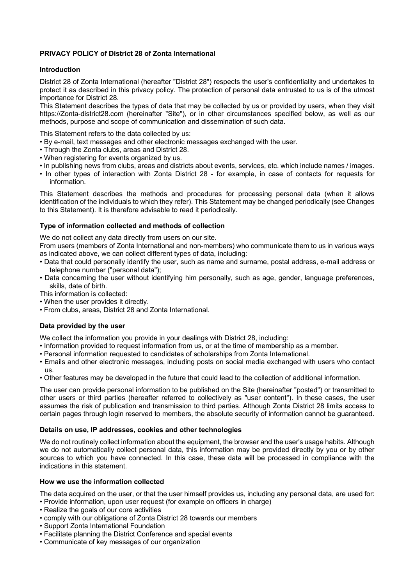# **PRIVACY POLICY of District 28 of Zonta International**

# **Introduction**

District 28 of Zonta International (hereafter "District 28") respects the user's confidentiality and undertakes to protect it as described in this privacy policy. The protection of personal data entrusted to us is of the utmost importance for District 28.

This Statement describes the types of data that may be collected by us or provided by users, when they visit https://Zonta-district28.com (hereinafter "Site"), or in other circumstances specified below, as well as our methods, purpose and scope of communication and dissemination of such data.

This Statement refers to the data collected by us:

- By e-mail, text messages and other electronic messages exchanged with the user.
- Through the Zonta clubs, areas and District 28.
- When registering for events organized by us.
- In publishing news from clubs, areas and districts about events, services, etc. which include names / images.
- In other types of interaction with Zonta District 28 for example, in case of contacts for requests for information.

This Statement describes the methods and procedures for processing personal data (when it allows identification of the individuals to which they refer). This Statement may be changed periodically (see Changes to this Statement). It is therefore advisable to read it periodically.

# **Type of information collected and methods of collection**

We do not collect any data directly from users on our site.

From users (members of Zonta International and non-members) who communicate them to us in various ways as indicated above, we can collect different types of data, including:

- Data that could personally identify the user, such as name and surname, postal address, e-mail address or telephone number ("personal data");
- Data concerning the user without identifying him personally, such as age, gender, language preferences, skills, date of birth.

This information is collected:

- When the user provides it directly.
- From clubs, areas, District 28 and Zonta International.

# **Data provided by the user**

We collect the information you provide in your dealings with District 28, including:

- Information provided to request information from us, or at the time of membership as a member.
- Personal information requested to candidates of scholarships from Zonta International.
- Emails and other electronic messages, including posts on social media exchanged with users who contact us.
- Other features may be developed in the future that could lead to the collection of additional information.

The user can provide personal information to be published on the Site (hereinafter "posted") or transmitted to other users or third parties (hereafter referred to collectively as "user content"). In these cases, the user assumes the risk of publication and transmission to third parties. Although Zonta District 28 limits access to certain pages through login reserved to members, the absolute security of information cannot be guaranteed.

# **Details on use, IP addresses, cookies and other technologies**

We do not routinely collect information about the equipment, the browser and the user's usage habits. Although we do not automatically collect personal data, this information may be provided directly by you or by other sources to which you have connected. In this case, these data will be processed in compliance with the indications in this statement.

#### **How we use the information collected**

The data acquired on the user, or that the user himself provides us, including any personal data, are used for:

- Provide information, upon user request (for example on officers in charge)
- Realize the goals of our core activities
- comply with our obligations of Zonta District 28 towards our members
- Support Zonta International Foundation
- Facilitate planning the District Conference and special events
- Communicate of key messages of our organization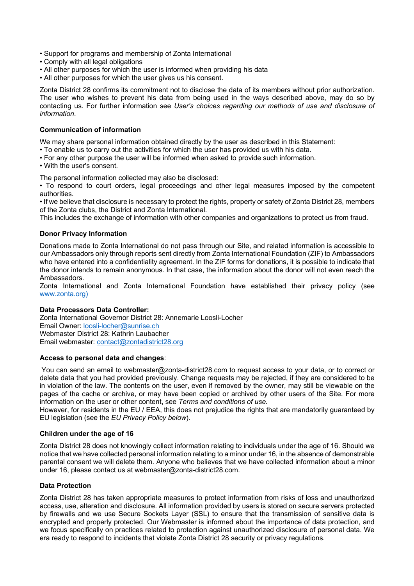- Support for programs and membership of Zonta International
- Comply with all legal obligations
- All other purposes for which the user is informed when providing his data
- All other purposes for which the user gives us his consent.

Zonta District 28 confirms its commitment not to disclose the data of its members without prior authorization. The user who wishes to prevent his data from being used in the ways described above, may do so by contacting us. For further information see *User's choices regarding our methods of use and disclosure of information*.

## **Communication of information**

We may share personal information obtained directly by the user as described in this Statement:

- To enable us to carry out the activities for which the user has provided us with his data.
- For any other purpose the user will be informed when asked to provide such information.
- With the user's consent.

The personal information collected may also be disclosed:

• To respond to court orders, legal proceedings and other legal measures imposed by the competent authorities.

• If we believe that disclosure is necessary to protect the rights, property or safety of Zonta District 28, members of the Zonta clubs, the District and Zonta International.

This includes the exchange of information with other companies and organizations to protect us from fraud.

## **Donor Privacy Information**

Donations made to Zonta International do not pass through our Site, and related information is accessible to our Ambassadors only through reports sent directly from Zonta International Foundation (ZIF) to Ambassadors who have entered into a confidentiality agreement. In the ZIF forms for donations, it is possible to indicate that the donor intends to remain anonymous. In that case, the information about the donor will not even reach the Ambassadors.

Zonta International and Zonta International Foundation have established their privacy policy (see www.zonta.org)

#### **Data Processors Data Controller:**

Zonta International Governor District 28: Annemarie Loosli-Locher Email Owner: loosli-locher@sunrise.ch Webmaster District 28: Kathrin Laubacher Email webmaster: contact@zontadistrict28.org

## **Access to personal data and changes**:

You can send an email to webmaster@zonta-district28.com to request access to your data, or to correct or delete data that you had provided previously. Change requests may be rejected, if they are considered to be in violation of the law. The contents on the user, even if removed by the owner, may still be viewable on the pages of the cache or archive, or may have been copied or archived by other users of the Site. For more information on the user or other content, see *Terms and conditions of use.*

However, for residents in the EU / EEA, this does not prejudice the rights that are mandatorily guaranteed by EU legislation (see the *EU Privacy Policy below*).

#### **Children under the age of 16**

Zonta District 28 does not knowingly collect information relating to individuals under the age of 16. Should we notice that we have collected personal information relating to a minor under 16, in the absence of demonstrable parental consent we will delete them. Anyone who believes that we have collected information about a minor under 16, please contact us at webmaster@zonta-district28.com.

#### **Data Protection**

Zonta District 28 has taken appropriate measures to protect information from risks of loss and unauthorized access, use, alteration and disclosure. All information provided by users is stored on secure servers protected by firewalls and we use Secure Sockets Layer (SSL) to ensure that the transmission of sensitive data is encrypted and properly protected. Our Webmaster is informed about the importance of data protection, and we focus specifically on practices related to protection against unauthorized disclosure of personal data. We era ready to respond to incidents that violate Zonta District 28 security or privacy regulations.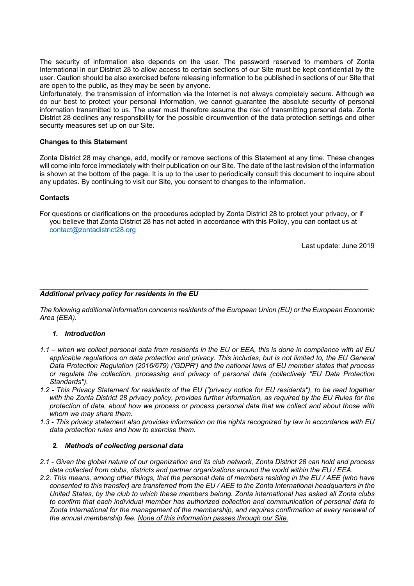The security of information also depends on the user. The password reserved to members of Zonta International in our District 28 to allow access to certain sections of our Site must be kept confidential by the user. Caution should be also exercised before releasing information to be published in sections of our Site that are open to the public, as they may be seen by anyone.

Unfortunately, the transmission of information via the Internet is not always completely secure. Although we do our best to protect your personal information, we cannot guarantee the absolute security of personal information transmitted to us. The user must therefore assume the risk of transmitting personal data. Zonta District 28 declines any responsibility for the possible circumvention of the data protection settings and other security measures set up on our Site.

## **Changes to this Statement**

Zonta District 28 may change, add, modify or remove sections of this Statement at any time. These changes will come into force immediately with their publication on our Site. The date of the last revision of the information is shown at the bottom of the page. It is up to the user to periodically consult this document to inquire about any updates. By continuing to visit our Site, you consent to changes to the information.

## **Contacts**

For questions or clarifications on the procedures adopted by Zonta District 28 to protect your privacy, or if you believe that Zonta District 28 has not acted in accordance with this Policy, you can contact us at contact@zontadistrict28.org

Last update: June 2019

#### \_\_\_\_\_\_\_\_\_\_\_\_\_\_\_\_\_\_\_\_\_\_\_\_\_\_\_\_\_\_\_\_\_\_\_\_\_\_\_\_\_\_\_\_\_\_\_\_\_\_\_\_\_\_\_\_\_\_\_\_\_\_\_\_\_\_\_\_\_\_\_\_\_\_\_\_\_\_\_\_\_\_\_\_\_ *Additional privacy policy for residents in the EU*

*The following additional information concerns residents of the European Union (EU) or the European Economic Area (EEA).*

## *1. Introduction*

- *1.1 – when we collect personal data from residents in the EU or EEA, this is done in compliance with all EU applicable regulations on data protection and privacy. This includes, but is not limited to, the EU General Data Protection Regulation (2016/679) ('GDPR') and the national laws of EU member states that process or regulate the collection, processing and privacy of personal data (collectively "EU Data Protection Standards").*
- *1.2 - This Privacy Statement for residents of the EU ("privacy notice for EU residents"), to be read together with the Zonta District 28 privacy policy, provides further information, as required by the EU Rules for the protection of data, about how we process or process personal data that we collect and about those with whom we may share them.*
- *1.3 - This privacy statement also provides information on the rights recognized by law in accordance with EU data protection rules and how to exercise them.*

#### *2. Methods of collecting personal data*

- *2.1 - Given the global nature of our organization and its club network, Zonta District 28 can hold and process data collected from clubs, districts and partner organizations around the world within the EU / EEA.*
- *2.2. This means, among other things, that the personal data of members residing in the EU / AEE (who have consented to this transfer) are transferred from the EU / AEE to the Zonta International headquarters in the United States, by the club to which these members belong. Zonta international has asked all Zonta clubs to confirm that each individual member has authorized collection and communication of personal data to Zonta International for the management of the membership, and requires confirmation at every renewal of the annual membership fee. None of this information passes through our Site.*